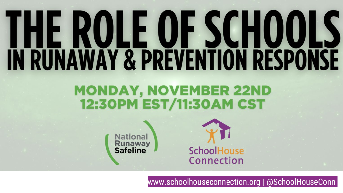# **THE ROLE OF SCHOOLS**<br>IN RUNAWAY & PREVENTION RESPONSE

#### **MONDAY, NOVEMBER 22ND 12:30PM EST/11:30AM CST**

**National Runaway**<br>Safeline



www.schoolhouseconnection.org | @SchoolHouseConn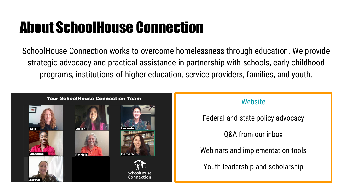#### About SchoolHouse Connection

SchoolHouse Connection works to overcome homelessness through education. We provide strategic advocacy and practical assistance in partnership with schools, early childhood programs, institutions of higher education, service providers, families, and youth.



#### **[Website](http://www.schoolhouseconnection.org)**

Federal and state policy advocacy

Q&A from our inbox

Webinars and implementation tools

Youth leadership and scholarship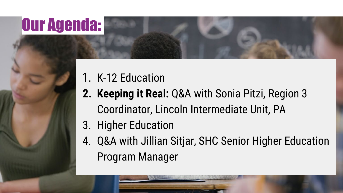#### Our Agenda:

- 1. K-12 Education
- **2. Keeping it Real:** Q&A with Sonia Pitzi, Region 3 Coordinator, Lincoln Intermediate Unit, PA
- 3. Higher Education
- 4. Q&A with Jillian Sitjar, SHC Senior Higher Education Program Manager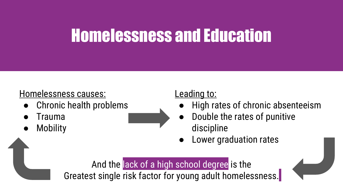#### Homelessness and Education

#### Homelessness causes:

- Chronic health problems
- **Trauma**
- **Mobility**

#### Leading to:

- High rates of chronic absenteeism
- Double the rates of punitive discipline
- **Lower graduation rates**

And the lack of a high school degree is the Greatest single risk factor for young adult homelessness.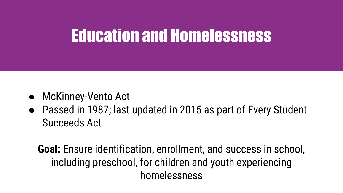#### Education and Homelessness

- McKinney-Vento Act
- Passed in 1987; last updated in 2015 as part of Every Student Succeeds Act

**Goal:** Ensure identification, enrollment, and success in school, including preschool, for children and youth experiencing homelessness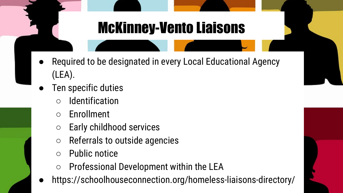#### McKinney-Vento Liaisons

- Required to be designated in every Local Educational Agency (LEA).
- Ten specific duties
	- Identification
	- Enrollment
	- Early childhood services
	- Referrals to outside agencies
	- Public notice
	- Professional Development within the LEA
- https://schoolhouseconnection.org/homeless-liaisons-directory/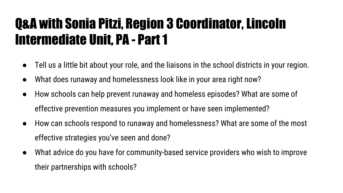#### Q&A with Sonia Pitzi, Region 3 Coordinator, Lincoln Intermediate Unit, PA - Part 1

- Tell us a little bit about your role, and the liaisons in the school districts in your region.
- What does runaway and homelessness look like in your area right now?
- How schools can help prevent runaway and homeless episodes? What are some of effective prevention measures you implement or have seen implemented?
- How can schools respond to runaway and homelessness? What are some of the most effective strategies you've seen and done?
- What advice do you have for community-based service providers who wish to improve their partnerships with schools?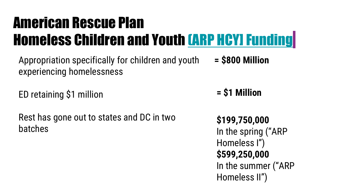#### American Rescue Plan Homeless Children and Youth [\(ARP HCY\] Funding](https://oese.ed.gov/offices/american-rescue-plan/american-rescue-plan-elementary-secondary-school-emergency-relief-homeless-children-youth-arp-hcy/)

Appropriation specifically for children and youth experiencing homelessness **= \$800 Million**

ED retaining \$1 million

Rest has gone out to states and DC in two batches

**= \$1 Million**

**\$199,750,000** In the spring ("ARP Homeless I") **\$599,250,000**  In the summer ("ARP Homeless II")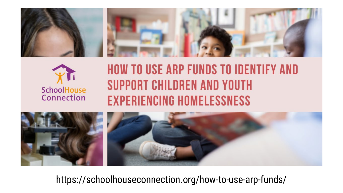



#### **HOW TO USE ARP FUNDS TO IDENTIFY AND SUPPORT CHILDREN AND YOUTH EXPERIENCING HOMELESSNESS**



https://schoolhouseconnection.org/how-to-use-arp-funds/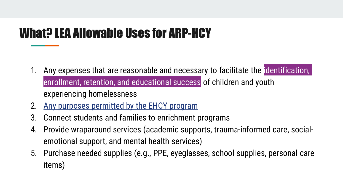#### What? LEA Allowable Uses for ARP-HCY

- 1. Any expenses that are reasonable and necessary to facilitate the identification, enrollment, retention, and educational success of children and youth experiencing homelessness
- 2. [Any purposes permitted by the EHCY program](https://docs.google.com/document/d/1utfV3GWjtAuUHA3wujvTV7sfz_HVVmkIoj9QSLvcf50/edit)
- 3. Connect students and families to enrichment programs
- 4. Provide wraparound services (academic supports, trauma-informed care, socialemotional support, and mental health services)
- 5. Purchase needed supplies (e.g., PPE, eyeglasses, school supplies, personal care items)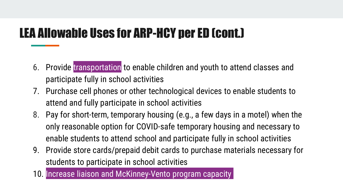#### LEA Allowable Uses for ARP-HCY per ED (cont.)

- 6. Provide transportation to enable children and youth to attend classes and participate fully in school activities
- 7. Purchase cell phones or other technological devices to enable students to attend and fully participate in school activities
- 8. Pay for short-term, temporary housing (e.g., a few days in a motel) when the only reasonable option for COVID-safe temporary housing and necessary to enable students to attend school and participate fully in school activities
- 9. Provide store cards/prepaid debit cards to purchase materials necessary for students to participate in school activities
- 10. Increase liaison and McKinney-Vento program capacity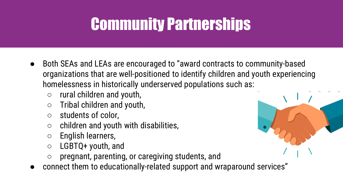#### Community Partnerships

- Both SEAs and LEAs are encouraged to "award contracts to community-based organizations that are well-positioned to identify children and youth experiencing homelessness in historically underserved populations such as:
	- $\circ$  rural children and youth,
	- $\circ$  Tribal children and youth,
	- students of color,
	- $\circ$  children and youth with disabilities,
	- English learners,
	- LGBTQ+ youth, and
	- pregnant, parenting, or caregiving students, and
- connect them to educationally-related support and wraparound services"

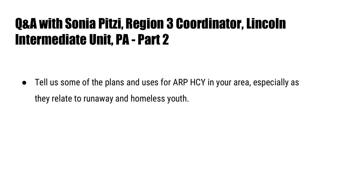#### Q&A with Sonia Pitzi, Region 3 Coordinator, Lincoln Intermediate Unit, PA - Part 2

Tell us some of the plans and uses for ARP HCY in your area, especially as they relate to runaway and homeless youth.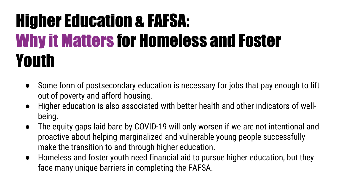#### Higher Education & FAFSA: Why it Matters for Homeless and Foster Youth

- Some form of postsecondary education is necessary for jobs that pay enough to lift out of poverty and afford housing.
- Higher education is also associated with better health and other indicators of wellbeing.
- The equity gaps laid bare by COVID-19 will only worsen if we are not intentional and proactive about helping marginalized and vulnerable young people successfully make the transition to and through higher education.
- Homeless and foster youth need financial aid to pursue higher education, but they face many unique barriers in completing the FAFSA.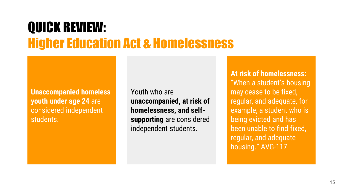#### QUICK REVIEW: Higher Education Act & Homelessness

**Unaccompanied homeless youth under age 24** are considered independent students.

Youth who are **unaccompanied, at risk of homelessness, and selfsupporting** are considered independent students.

**At risk of homelessness:**  "When a student's housing may cease to be fixed, regular, and adequate, for example, a student who is being evicted and has been unable to find fixed, regular, and adequate housing." AVG-117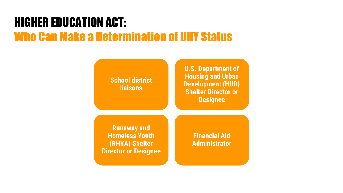#### HIGHER EDUCATION ACT: Who Can Make a Determination of UHY Status

**School district liaisons**

**U.S. Department of Housing and Urban Development (HUD) Shelter Director or Designee**

**Runaway and Homeless Youth (RHYA) Shelter Director or Designee**

**Financial Aid Administrator**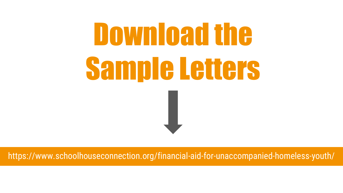## Download the Sample Letters

https://www.schoolhouseconnection.org/financial-aid-for-unaccompanied-homeless-youth/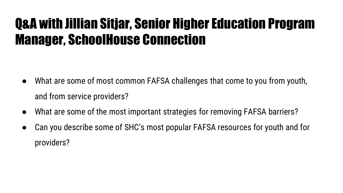#### Q&A with Jillian Sitjar, Senior Higher Education Program Manager, SchoolHouse Connection

- What are some of most common FAFSA challenges that come to you from youth, and from service providers?
- What are some of the most important strategies for removing FAFSA barriers?
- Can you describe some of SHC's most popular FAFSA resources for youth and for providers?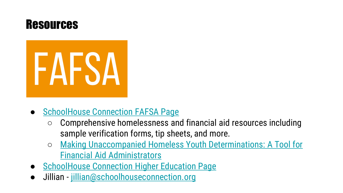



- [SchoolHouse Connection FAFSA Page](https://schoolhouseconnection.org/fafsa/)
	- Comprehensive homelessness and financial aid resources including sample verification forms, tip sheets, and more.
	- Making Unaccompanied Homeless Youth Determinations: A Tool for Financial Aid Administrators
- **SchoolHouse Connection Higher Education Page**
- Jillian [jillian@schoolhouseconnection.org](mailto:jillian@schoolhouseconnection.org)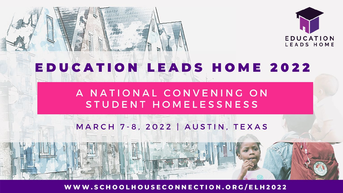

#### **EDUCATION LEADS HOME 2022**

#### A NATIONAL CONVENING ON STUDENT HOMELESSNESS

#### MARCH 7-8, 2022 | AUSTIN, TEXAS

WWW.SCHOOLHOUSECONNECTION.ORG/ELH2022